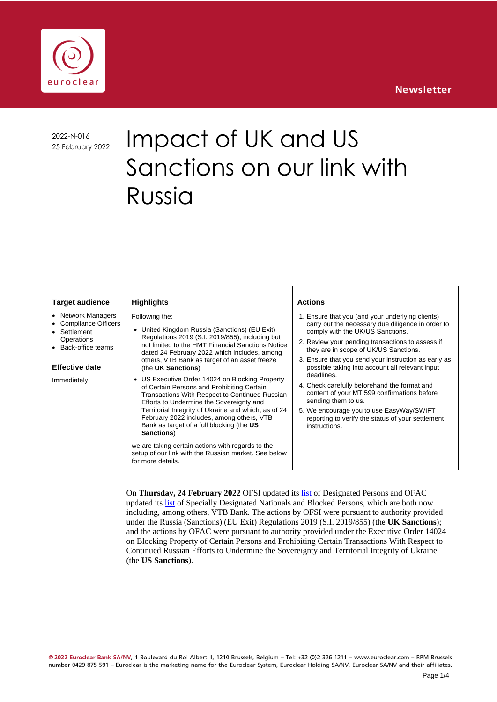## **Newsletter**



2022-N-016

# 2022-N-016 Impact of UK and US Sanctions on our link with Russia

#### **Target audience**

- **Network Managers**
- Compliance Officers **Settlement**
- **Operations**
- Back-office teams

#### **Effective date**

Immediately

#### Following the:

**Highlights**

- United Kingdom Russia (Sanctions) (EU Exit) Regulations 2019 (S.I. 2019/855), including but not limited to the HMT Financial Sanctions Notice dated 24 February 2022 which includes, among others, VTB Bank as target of an asset freeze (the **UK Sanctions**)
- US Executive Order 14024 on Blocking Property of Certain Persons and Prohibiting Certain Transactions With Respect to Continued Russian Efforts to Undermine the Sovereignty and Territorial Integrity of Ukraine and which, as of 24 February 2022 includes, among others, VTB Bank as target of a full blocking (the **US Sanctions**)

we are taking certain actions with regards to the setup of our link with the Russian market. See below for more details.

#### **Actions**

- 1. Ensure that you (and your underlying clients) carry out the necessary due diligence in order to comply with the UK/US Sanctions.
- 2. Review your pending transactions to assess if they are in scope of UK/US Sanctions.
- 3. Ensure that you send your instruction as early as possible taking into account all relevant input deadlines.
- 4. Check carefully beforehand the format and content of your MT 599 confirmations before sending them to us.
- 5. We encourage you to use EasyWay/SWIFT reporting to verify the status of your settlement instructions.

On **Thursday, 24 February 2022** OFSI updated its [list](https://www.gov.uk/government/publications/financial-sanctions-ukraine-sovereignty-and-territorial-integrity) of Designated Persons and OFAC updated its [list](https://www.treasury.gov/resource-center/sanctions/OFAC-Enforcement/Pages/20180406.aspx) of Specially Designated Nationals and Blocked Persons, which are both now including, among others, VTB Bank. The actions by OFSI were pursuant to authority provided under the Russia (Sanctions) (EU Exit) Regulations 2019 (S.I. 2019/855) (the **UK Sanctions**); and the actions by OFAC were pursuant to authority provided under the Executive Order 14024 on Blocking Property of Certain Persons and Prohibiting Certain Transactions With Respect to Continued Russian Efforts to Undermine the Sovereignty and Territorial Integrity of Ukraine (the **US Sanctions**).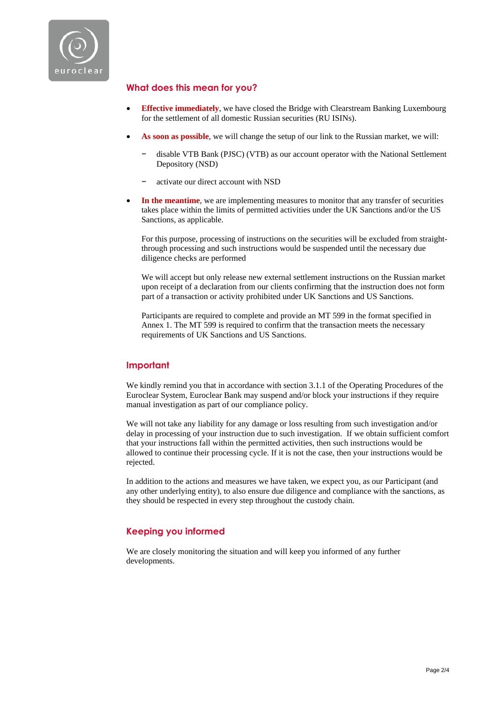

## **What does this mean for you?**

- **Effective immediately**, we have closed the Bridge with Clearstream Banking Luxembourg for the settlement of all domestic Russian securities (RU ISINs).
- **As soon as possible**, we will change the setup of our link to the Russian market, we will:
	- − disable VTB Bank (PJSC) (VTB) as our account operator with the National Settlement Depository (NSD)
	- − activate our direct account with NSD
- In the meantime, we are implementing measures to monitor that any transfer of securities takes place within the limits of permitted activities under the UK Sanctions and/or the US Sanctions, as applicable.

For this purpose, processing of instructions on the securities will be excluded from straightthrough processing and such instructions would be suspended until the necessary due diligence checks are performed

We will accept but only release new external settlement instructions on the Russian market upon receipt of a declaration from our clients confirming that the instruction does not form part of a transaction or activity prohibited under UK Sanctions and US Sanctions.

Participants are required to complete and provide an MT 599 in the format specified in Annex 1. The MT 599 is required to confirm that the transaction meets the necessary requirements of UK Sanctions and US Sanctions.

## **Important**

We kindly remind you that in accordance with section 3.1.1 of the Operating Procedures of the Euroclear System, Euroclear Bank may suspend and/or block your instructions if they require manual investigation as part of our compliance policy.

We will not take any liability for any damage or loss resulting from such investigation and/or delay in processing of your instruction due to such investigation. If we obtain sufficient comfort that your instructions fall within the permitted activities, then such instructions would be allowed to continue their processing cycle. If it is not the case, then your instructions would be rejected.

In addition to the actions and measures we have taken, we expect you, as our Participant (and any other underlying entity), to also ensure due diligence and compliance with the sanctions, as they should be respected in every step throughout the custody chain.

## **Keeping you informed**

We are closely monitoring the situation and will keep you informed of any further developments.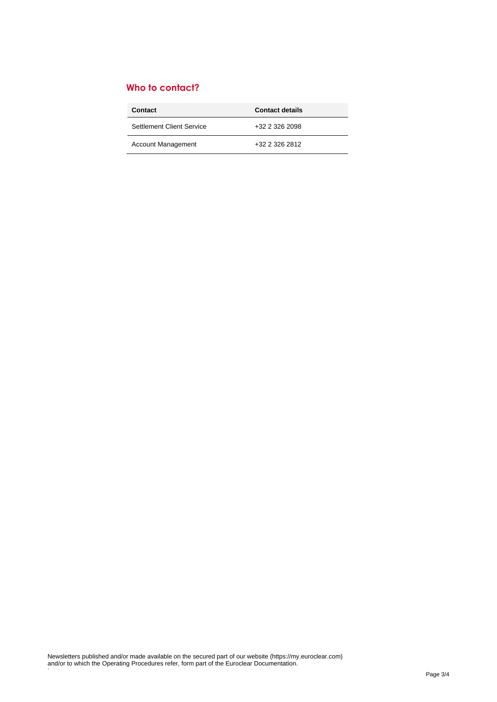# **Who to contact?**

| Contact                   | <b>Contact details</b> |
|---------------------------|------------------------|
| Settlement Client Service | +32 2 326 2098         |
| <b>Account Management</b> | +32 2 326 2812         |